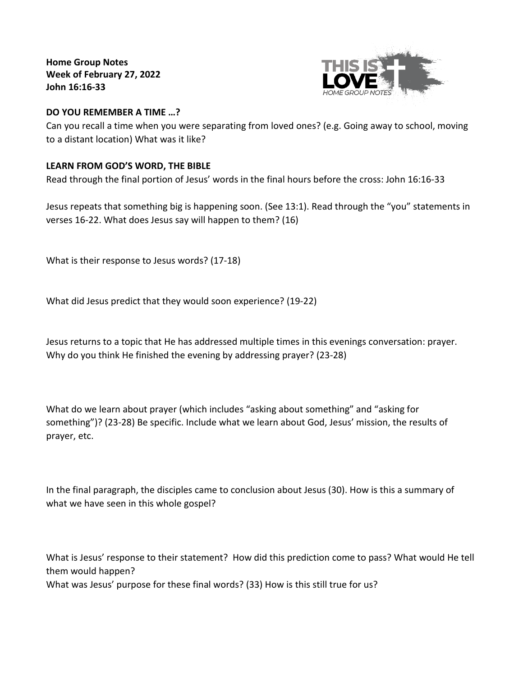**Home Group Notes Week of February 27, 2022 John 16:16-33**



## **DO YOU REMEMBER A TIME …?**

Can you recall a time when you were separating from loved ones? (e.g. Going away to school, moving to a distant location) What was it like?

# **LEARN FROM GOD'S WORD, THE BIBLE**

Read through the final portion of Jesus' words in the final hours before the cross: John 16:16-33

Jesus repeats that something big is happening soon. (See 13:1). Read through the "you" statements in verses 16-22. What does Jesus say will happen to them? (16)

What is their response to Jesus words? (17-18)

What did Jesus predict that they would soon experience? (19-22)

Jesus returns to a topic that He has addressed multiple times in this evenings conversation: prayer. Why do you think He finished the evening by addressing prayer? (23-28)

What do we learn about prayer (which includes "asking about something" and "asking for something")? (23-28) Be specific. Include what we learn about God, Jesus' mission, the results of prayer, etc.

In the final paragraph, the disciples came to conclusion about Jesus (30). How is this a summary of what we have seen in this whole gospel?

What is Jesus' response to their statement? How did this prediction come to pass? What would He tell them would happen? What was Jesus' purpose for these final words? (33) How is this still true for us?